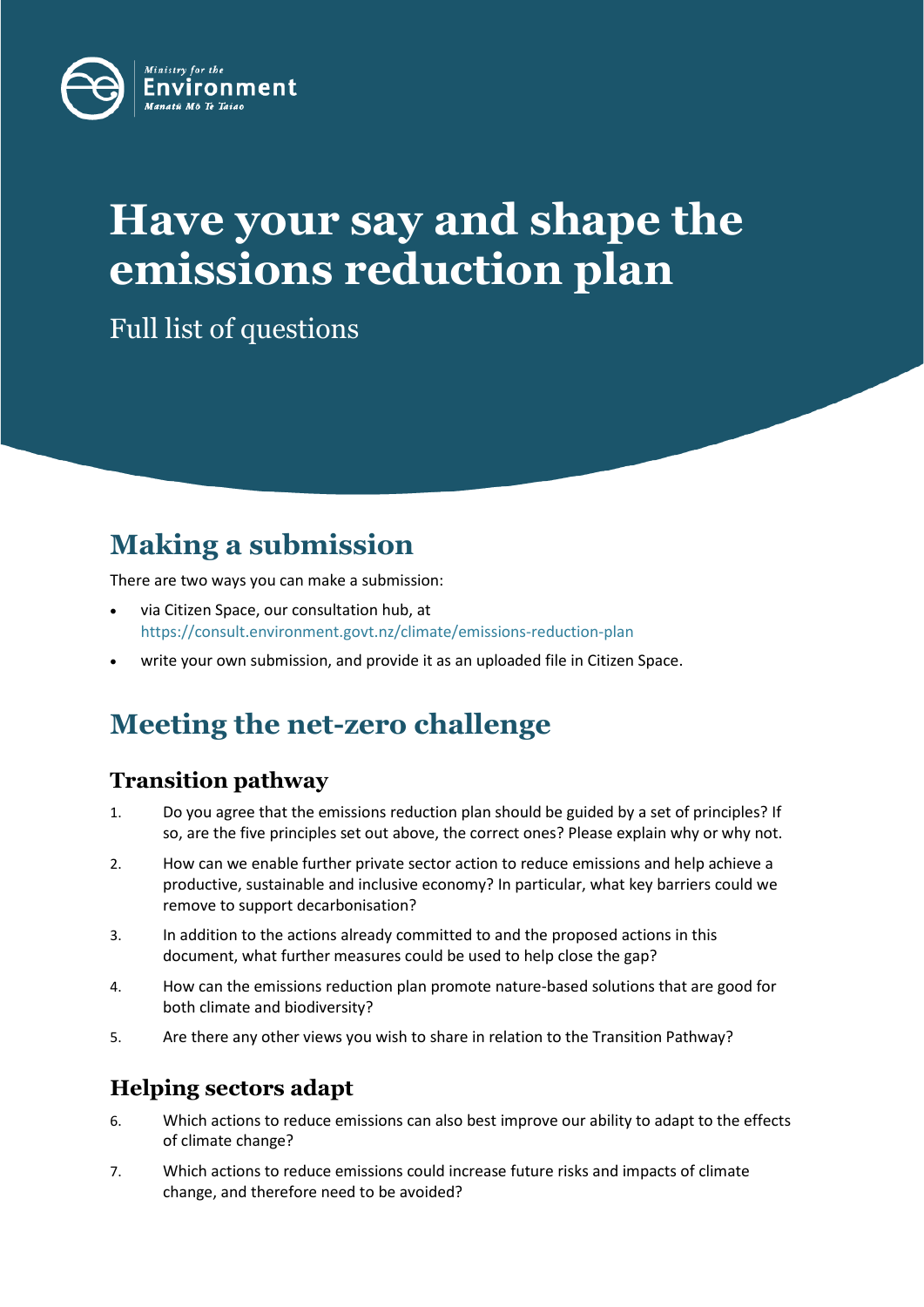

# **Have your say and shape the emissions reduction plan**

Full list of questions

# **Making a submission**

There are two ways you can make a submission:

- via Citizen Space, our consultation hub, at <https://consult.environment.govt.nz/climate/emissions-reduction-plan>
- write your own submission, and provide it as an uploaded file in Citizen Space.

# **Meeting the net-zero challenge**

# **Transition pathway**

- 1. Do you agree that the emissions reduction plan should be guided by a set of principles? If so, are the five principles set out above, the correct ones? Please explain why or why not.
- 2. How can we enable further private sector action to reduce emissions and help achieve a productive, sustainable and inclusive economy? In particular, what key barriers could we remove to support decarbonisation?
- 3. In addition to the actions already committed to and the proposed actions in this document, what further measures could be used to help close the gap?
- 4. How can the emissions reduction plan promote nature-based solutions that are good for both climate and biodiversity?
- 5. Are there any other views you wish to share in relation to the Transition Pathway?

# **Helping sectors adapt**

- 6. Which actions to reduce emissions can also best improve our ability to adapt to the effects of climate change?
- 7. Which actions to reduce emissions could increase future risks and impacts of climate change, and therefore need to be avoided?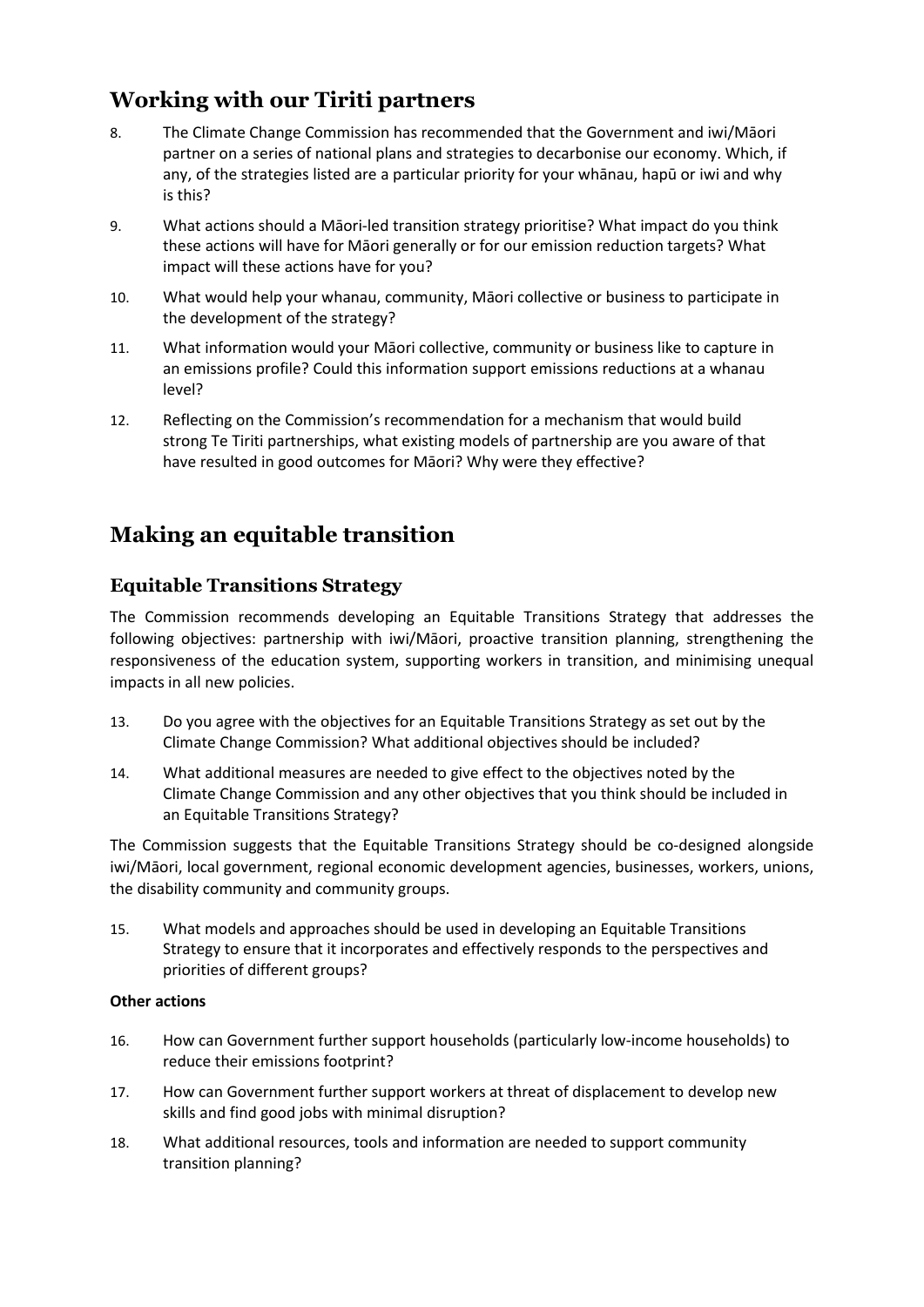# **Working with our Tiriti partners**

- 8. The Climate Change Commission has recommended that the Government and iwi/Māori partner on a series of national plans and strategies to decarbonise our economy. Which, if any, of the strategies listed are a particular priority for your whānau, hapū or iwi and why is this?
- 9. What actions should a Māori-led transition strategy prioritise? What impact do you think these actions will have for Māori generally or for our emission reduction targets? What impact will these actions have for you?
- 10. What would help your whanau, community, Māori collective or business to participate in the development of the strategy?
- 11. What information would your Māori collective, community or business like to capture in an emissions profile? Could this information support emissions reductions at a whanau level?
- 12. Reflecting on the Commission's recommendation for a mechanism that would build strong Te Tiriti partnerships, what existing models of partnership are you aware of that have resulted in good outcomes for Māori? Why were they effective?

# **Making an equitable transition**

### **Equitable Transitions Strategy**

The Commission recommends developing an Equitable Transitions Strategy that addresses the following objectives: partnership with iwi/Māori, proactive transition planning, strengthening the responsiveness of the education system, supporting workers in transition, and minimising unequal impacts in all new policies.

- 13. Do you agree with the objectives for an Equitable Transitions Strategy as set out by the Climate Change Commission? What additional objectives should be included?
- 14. What additional measures are needed to give effect to the objectives noted by the Climate Change Commission and any other objectives that you think should be included in an Equitable Transitions Strategy?

The Commission suggests that the Equitable Transitions Strategy should be co-designed alongside iwi/Māori, local government, regional economic development agencies, businesses, workers, unions, the disability community and community groups.

15. What models and approaches should be used in developing an Equitable Transitions Strategy to ensure that it incorporates and effectively responds to the perspectives and priorities of different groups?

#### **Other actions**

- 16. How can Government further support households (particularly low-income households) to reduce their emissions footprint?
- 17. How can Government further support workers at threat of displacement to develop new skills and find good jobs with minimal disruption?
- 18. What additional resources, tools and information are needed to support community transition planning?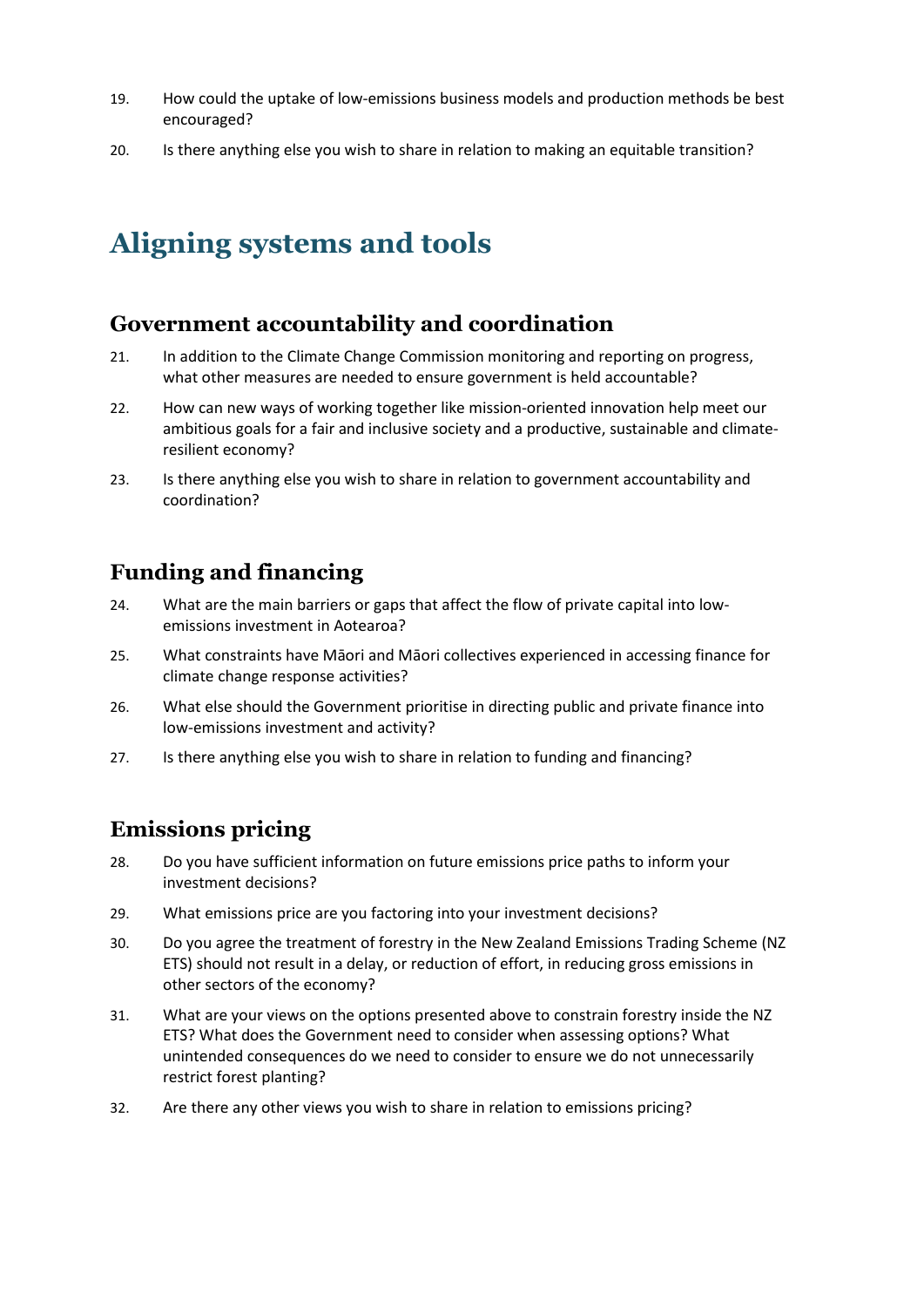- 19. How could the uptake of low-emissions business models and production methods be best encouraged?
- 20. Is there anything else you wish to share in relation to making an equitable transition?

# **Aligning systems and tools**

### **Government accountability and coordination**

- 21. In addition to the Climate Change Commission monitoring and reporting on progress, what other measures are needed to ensure government is held accountable?
- 22. How can new ways of working together like mission-oriented innovation help meet our ambitious goals for a fair and inclusive society and a productive, sustainable and climateresilient economy?
- 23. Is there anything else you wish to share in relation to government accountability and coordination?

# **Funding and financing**

- 24. What are the main barriers or gaps that affect the flow of private capital into lowemissions investment in Aotearoa?
- 25. What constraints have Māori and Māori collectives experienced in accessing finance for climate change response activities?
- 26. What else should the Government prioritise in directing public and private finance into low-emissions investment and activity?
- 27. Is there anything else you wish to share in relation to funding and financing?

# **Emissions pricing**

- 28. Do you have sufficient information on future emissions price paths to inform your investment decisions?
- 29. What emissions price are you factoring into your investment decisions?
- 30. Do you agree the treatment of forestry in the New Zealand Emissions Trading Scheme (NZ ETS) should not result in a delay, or reduction of effort, in reducing gross emissions in other sectors of the economy?
- 31. What are your views on the options presented above to constrain forestry inside the NZ ETS? What does the Government need to consider when assessing options? What unintended consequences do we need to consider to ensure we do not unnecessarily restrict forest planting?
- 32. Are there any other views you wish to share in relation to emissions pricing?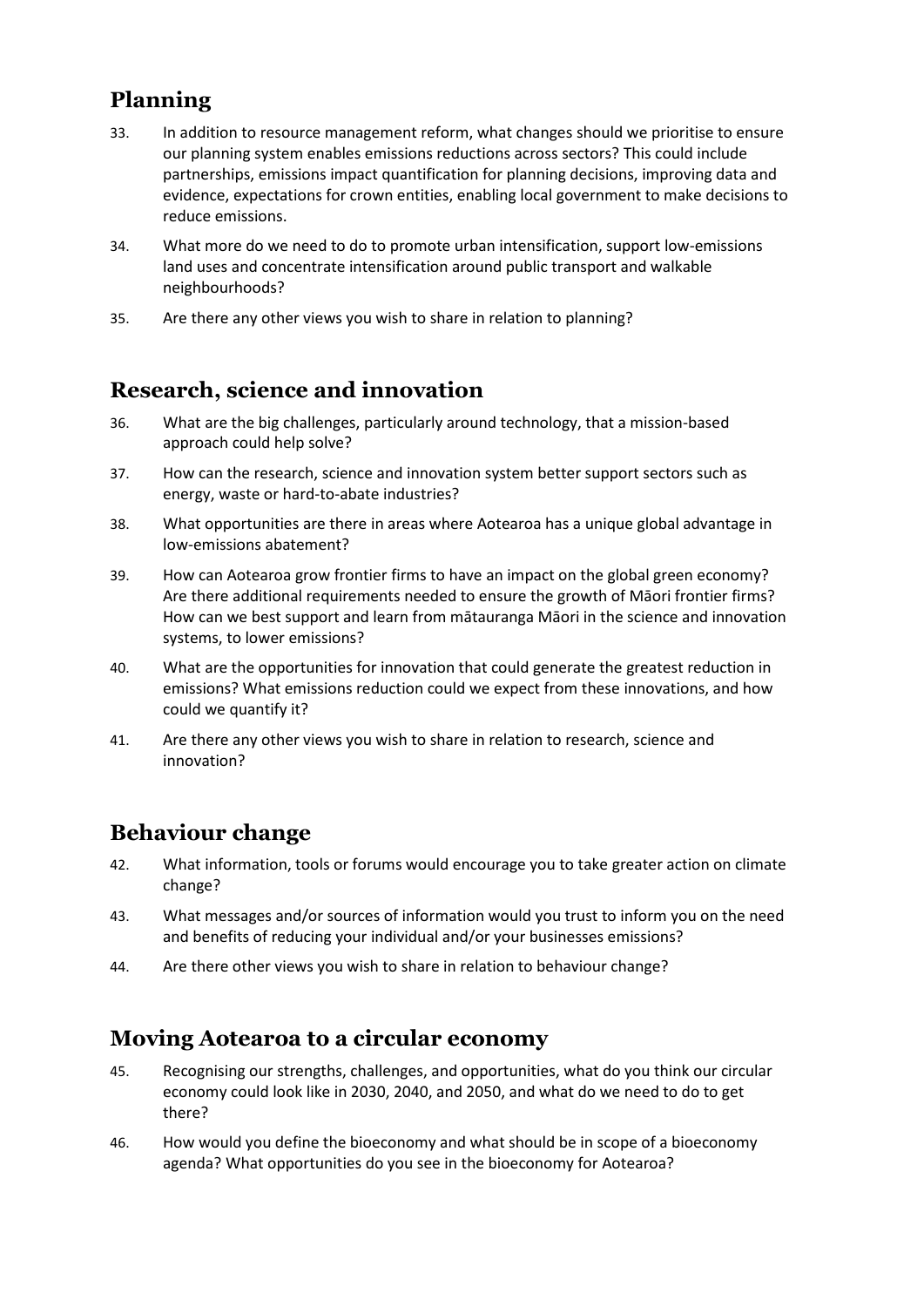# **Planning**

- 33. In addition to resource management reform, what changes should we prioritise to ensure our planning system enables emissions reductions across sectors? This could include partnerships, emissions impact quantification for planning decisions, improving data and evidence, expectations for crown entities, enabling local government to make decisions to reduce emissions.
- 34. What more do we need to do to promote urban intensification, support low-emissions land uses and concentrate intensification around public transport and walkable neighbourhoods?
- 35. Are there any other views you wish to share in relation to planning?

## **Research, science and innovation**

- 36. What are the big challenges, particularly around technology, that a mission-based approach could help solve?
- 37. How can the research, science and innovation system better support sectors such as energy, waste or hard-to-abate industries?
- 38. What opportunities are there in areas where Aotearoa has a unique global advantage in low-emissions abatement?
- 39. How can Aotearoa grow frontier firms to have an impact on the global green economy? Are there additional requirements needed to ensure the growth of Māori frontier firms? How can we best support and learn from mātauranga Māori in the science and innovation systems, to lower emissions?
- 40. What are the opportunities for innovation that could generate the greatest reduction in emissions? What emissions reduction could we expect from these innovations, and how could we quantify it?
- 41. Are there any other views you wish to share in relation to research, science and innovation?

# **Behaviour change**

- 42. What information, tools or forums would encourage you to take greater action on climate change?
- 43. What messages and/or sources of information would you trust to inform you on the need and benefits of reducing your individual and/or your businesses emissions?
- 44. Are there other views you wish to share in relation to behaviour change?

### **Moving Aotearoa to a circular economy**

- 45. Recognising our strengths, challenges, and opportunities, what do you think our circular economy could look like in 2030, 2040, and 2050, and what do we need to do to get there?
- 46. How would you define the bioeconomy and what should be in scope of a bioeconomy agenda? What opportunities do you see in the bioeconomy for Aotearoa?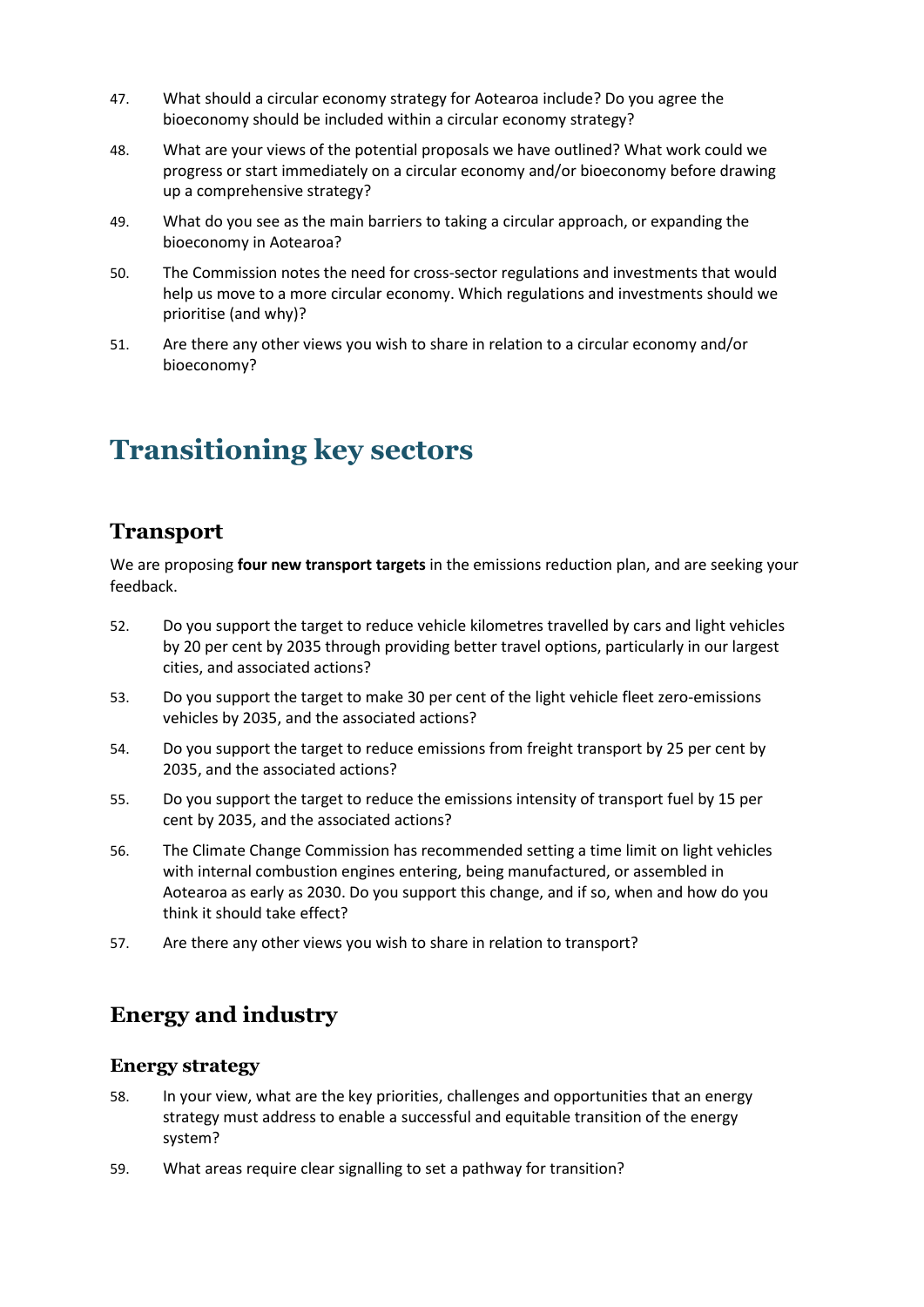- 47. What should a circular economy strategy for Aotearoa include? Do you agree the bioeconomy should be included within a circular economy strategy?
- 48. What are your views of the potential proposals we have outlined? What work could we progress or start immediately on a circular economy and/or bioeconomy before drawing up a comprehensive strategy?
- 49. What do you see as the main barriers to taking a circular approach, or expanding the bioeconomy in Aotearoa?
- 50. The Commission notes the need for cross-sector regulations and investments that would help us move to a more circular economy. Which regulations and investments should we prioritise (and why)?
- 51. Are there any other views you wish to share in relation to a circular economy and/or bioeconomy?

# **Transitioning key sectors**

### **Transport**

We are proposing **four new transport targets** in the emissions reduction plan, and are seeking your feedback.

- 52. Do you support the target to reduce vehicle kilometres travelled by cars and light vehicles by 20 per cent by 2035 through providing better travel options, particularly in our largest cities, and associated actions?
- 53. Do you support the target to make 30 per cent of the light vehicle fleet zero-emissions vehicles by 2035, and the associated actions?
- 54. Do you support the target to reduce emissions from freight transport by 25 per cent by 2035, and the associated actions?
- 55. Do you support the target to reduce the emissions intensity of transport fuel by 15 per cent by 2035, and the associated actions?
- 56. The Climate Change Commission has recommended setting a time limit on light vehicles with internal combustion engines entering, being manufactured, or assembled in Aotearoa as early as 2030. Do you support this change, and if so, when and how do you think it should take effect?
- 57. Are there any other views you wish to share in relation to transport?

# **Energy and industry**

#### **Energy strategy**

- 58. In your view, what are the key priorities, challenges and opportunities that an energy strategy must address to enable a successful and equitable transition of the energy system?
- 59. What areas require clear signalling to set a pathway for transition?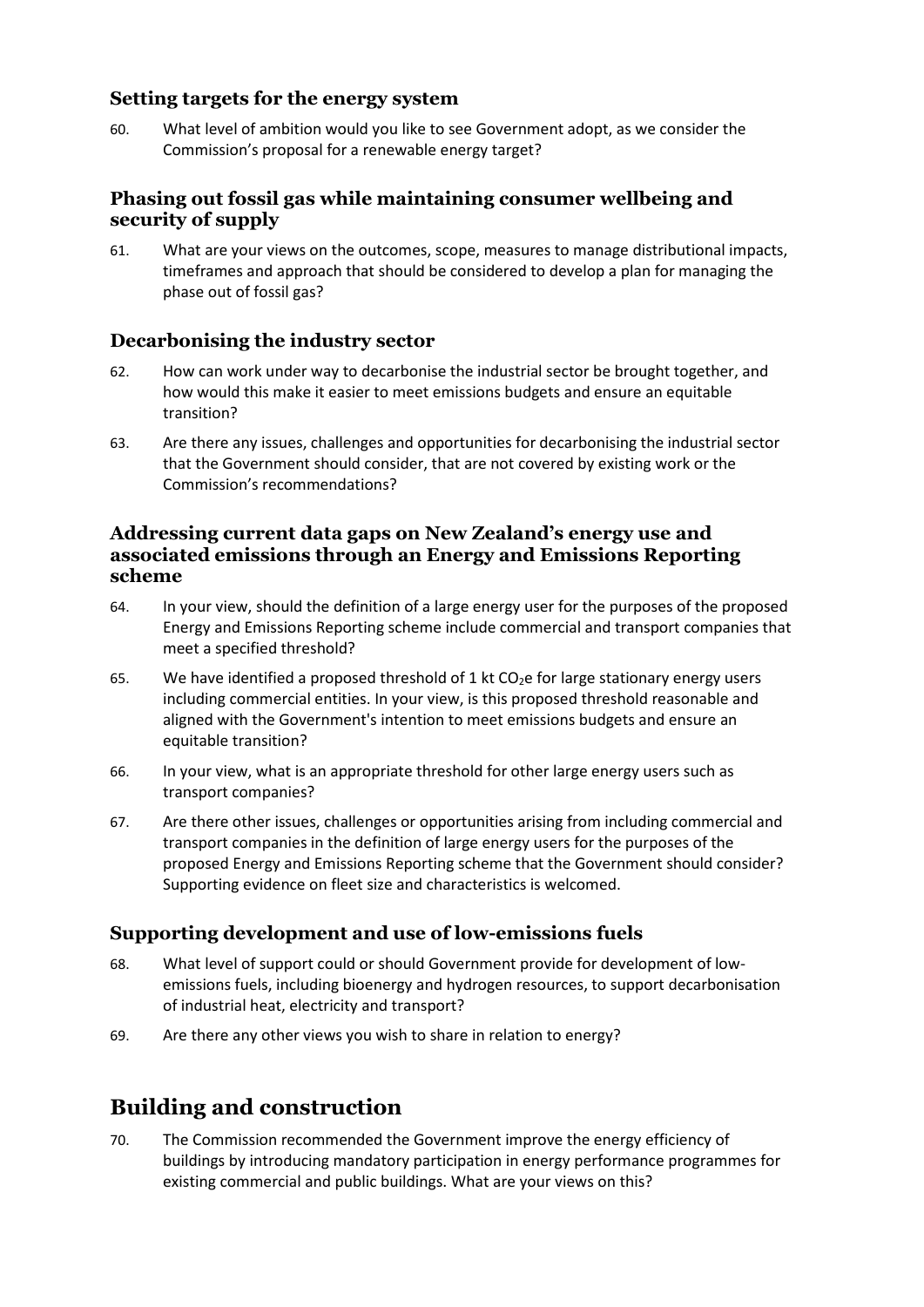### **Setting targets for the energy system**

60. What level of ambition would you like to see Government adopt, as we consider the Commission's proposal for a renewable energy target?

### **Phasing out fossil gas while maintaining consumer wellbeing and security of supply**

61. What are your views on the outcomes, scope, measures to manage distributional impacts, timeframes and approach that should be considered to develop a plan for managing the phase out of fossil gas?

### **Decarbonising the industry sector**

- 62. How can work under way to decarbonise the industrial sector be brought together, and how would this make it easier to meet emissions budgets and ensure an equitable transition?
- 63. Are there any issues, challenges and opportunities for decarbonising the industrial sector that the Government should consider, that are not covered by existing work or the Commission's recommendations?

#### **Addressing current data gaps on New Zealand's energy use and associated emissions through an Energy and Emissions Reporting scheme**

- 64. In your view, should the definition of a large energy user for the purposes of the proposed Energy and Emissions Reporting scheme include commercial and transport companies that meet a specified threshold?
- 65. We have identified a proposed threshold of 1 kt  $CO<sub>2</sub>e$  for large stationary energy users including commercial entities. In your view, is this proposed threshold reasonable and aligned with the Government's intention to meet emissions budgets and ensure an equitable transition?
- 66. In your view, what is an appropriate threshold for other large energy users such as transport companies?
- 67. Are there other issues, challenges or opportunities arising from including commercial and transport companies in the definition of large energy users for the purposes of the proposed Energy and Emissions Reporting scheme that the Government should consider? Supporting evidence on fleet size and characteristics is welcomed.

### **Supporting development and use of low-emissions fuels**

- 68. What level of support could or should Government provide for development of lowemissions fuels, including bioenergy and hydrogen resources, to support decarbonisation of industrial heat, electricity and transport?
- 69. Are there any other views you wish to share in relation to energy?

# **Building and construction**

70. The Commission recommended the Government improve the energy efficiency of buildings by introducing mandatory participation in energy performance programmes for existing commercial and public buildings. What are your views on this?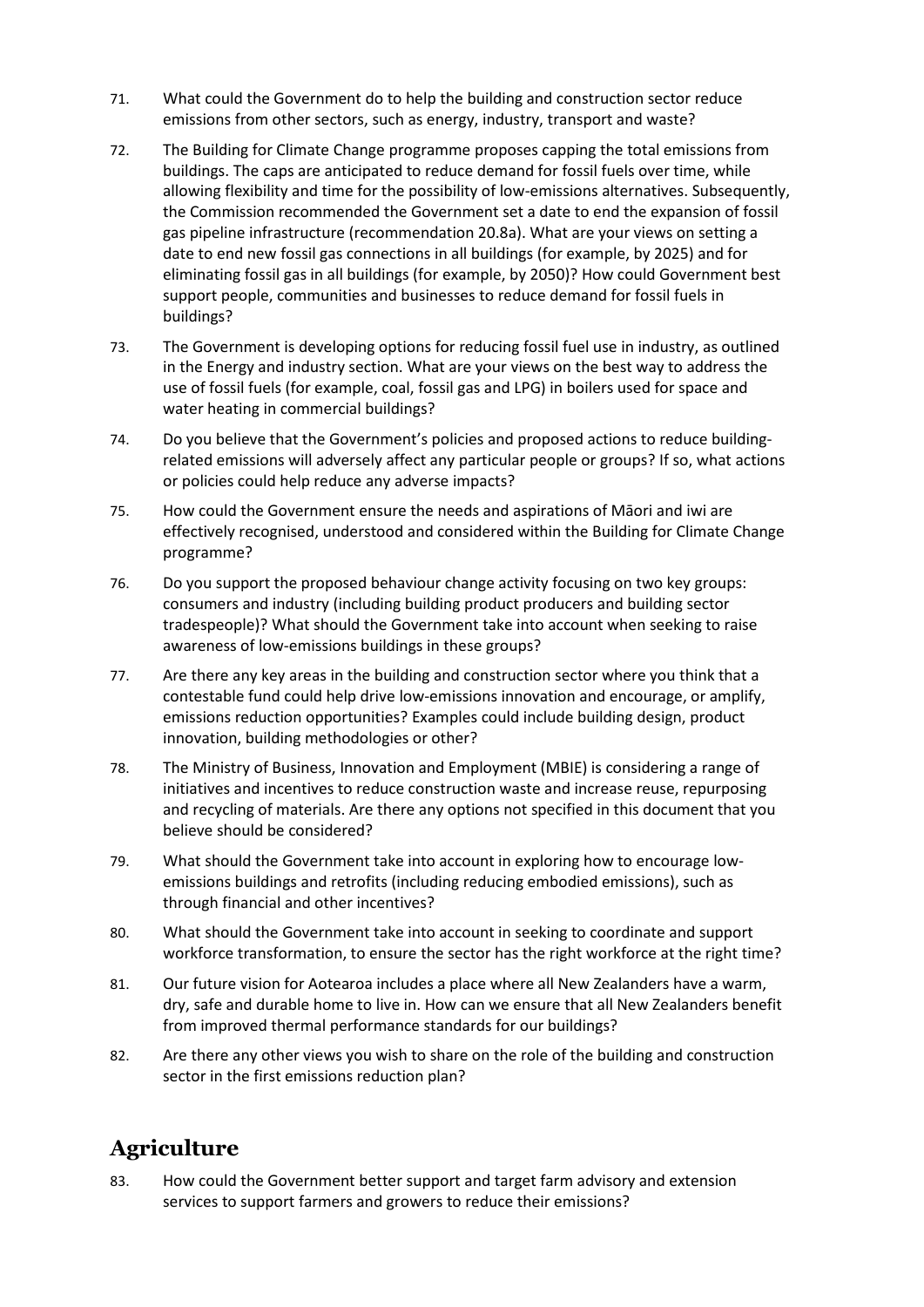- 71. What could the Government do to help the building and construction sector reduce emissions from other sectors, such as energy, industry, transport and waste?
- 72. The Building for Climate Change programme proposes capping the total emissions from buildings. The caps are anticipated to reduce demand for fossil fuels over time, while allowing flexibility and time for the possibility of low-emissions alternatives. Subsequently, the Commission recommended the Government set a date to end the expansion of fossil gas pipeline infrastructure (recommendation 20.8a). What are your views on setting a date to end new fossil gas connections in all buildings (for example, by 2025) and for eliminating fossil gas in all buildings (for example, by 2050)? How could Government best support people, communities and businesses to reduce demand for fossil fuels in buildings?
- 73. The Government is developing options for reducing fossil fuel use in industry, as outlined in the Energy and industry section. What are your views on the best way to address the use of fossil fuels (for example, coal, fossil gas and LPG) in boilers used for space and water heating in commercial buildings?
- 74. Do you believe that the Government's policies and proposed actions to reduce buildingrelated emissions will adversely affect any particular people or groups? If so, what actions or policies could help reduce any adverse impacts?
- 75. How could the Government ensure the needs and aspirations of Māori and iwi are effectively recognised, understood and considered within the Building for Climate Change programme?
- 76. Do you support the proposed behaviour change activity focusing on two key groups: consumers and industry (including building product producers and building sector tradespeople)? What should the Government take into account when seeking to raise awareness of low-emissions buildings in these groups?
- 77. Are there any key areas in the building and construction sector where you think that a contestable fund could help drive low-emissions innovation and encourage, or amplify, emissions reduction opportunities? Examples could include building design, product innovation, building methodologies or other?
- 78. The Ministry of Business, Innovation and Employment (MBIE) is considering a range of initiatives and incentives to reduce construction waste and increase reuse, repurposing and recycling of materials. Are there any options not specified in this document that you believe should be considered?
- 79. What should the Government take into account in exploring how to encourage lowemissions buildings and retrofits (including reducing embodied emissions), such as through financial and other incentives?
- 80. What should the Government take into account in seeking to coordinate and support workforce transformation, to ensure the sector has the right workforce at the right time?
- 81. Our future vision for Aotearoa includes a place where all New Zealanders have a warm, dry, safe and durable home to live in. How can we ensure that all New Zealanders benefit from improved thermal performance standards for our buildings?
- 82. Are there any other views you wish to share on the role of the building and construction sector in the first emissions reduction plan?

# **Agriculture**

83. How could the Government better support and target farm advisory and extension services to support farmers and growers to reduce their emissions?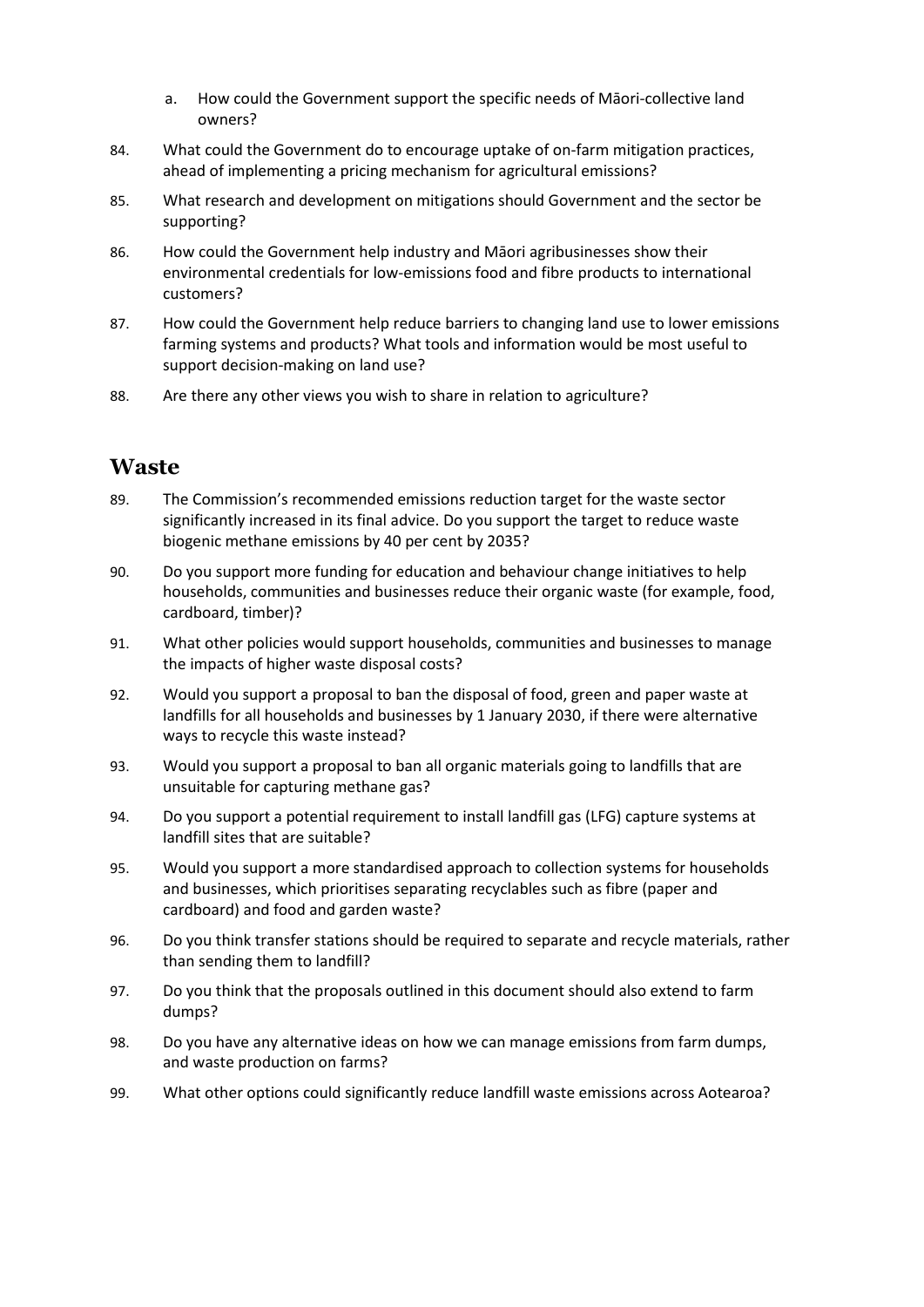- a. How could the Government support the specific needs of Māori-collective land owners?
- 84. What could the Government do to encourage uptake of on-farm mitigation practices, ahead of implementing a pricing mechanism for agricultural emissions?
- 85. What research and development on mitigations should Government and the sector be supporting?
- 86. How could the Government help industry and Māori agribusinesses show their environmental credentials for low-emissions food and fibre products to international customers?
- 87. How could the Government help reduce barriers to changing land use to lower emissions farming systems and products? What tools and information would be most useful to support decision-making on land use?
- 88. Are there any other views you wish to share in relation to agriculture?

### **Waste**

- 89. The Commission's recommended emissions reduction target for the waste sector significantly increased in its final advice. Do you support the target to reduce waste biogenic methane emissions by 40 per cent by 2035?
- 90. Do you support more funding for education and behaviour change initiatives to help households, communities and businesses reduce their organic waste (for example, food, cardboard, timber)?
- 91. What other policies would support households, communities and businesses to manage the impacts of higher waste disposal costs?
- 92. Would you support a proposal to ban the disposal of food, green and paper waste at landfills for all households and businesses by 1 January 2030, if there were alternative ways to recycle this waste instead?
- 93. Would you support a proposal to ban all organic materials going to landfills that are unsuitable for capturing methane gas?
- 94. Do you support a potential requirement to install landfill gas (LFG) capture systems at landfill sites that are suitable?
- 95. Would you support a more standardised approach to collection systems for households and businesses, which prioritises separating recyclables such as fibre (paper and cardboard) and food and garden waste?
- 96. Do you think transfer stations should be required to separate and recycle materials, rather than sending them to landfill?
- 97. Do you think that the proposals outlined in this document should also extend to farm dumps?
- 98. Do you have any alternative ideas on how we can manage emissions from farm dumps, and waste production on farms?
- 99. What other options could significantly reduce landfill waste emissions across Aotearoa?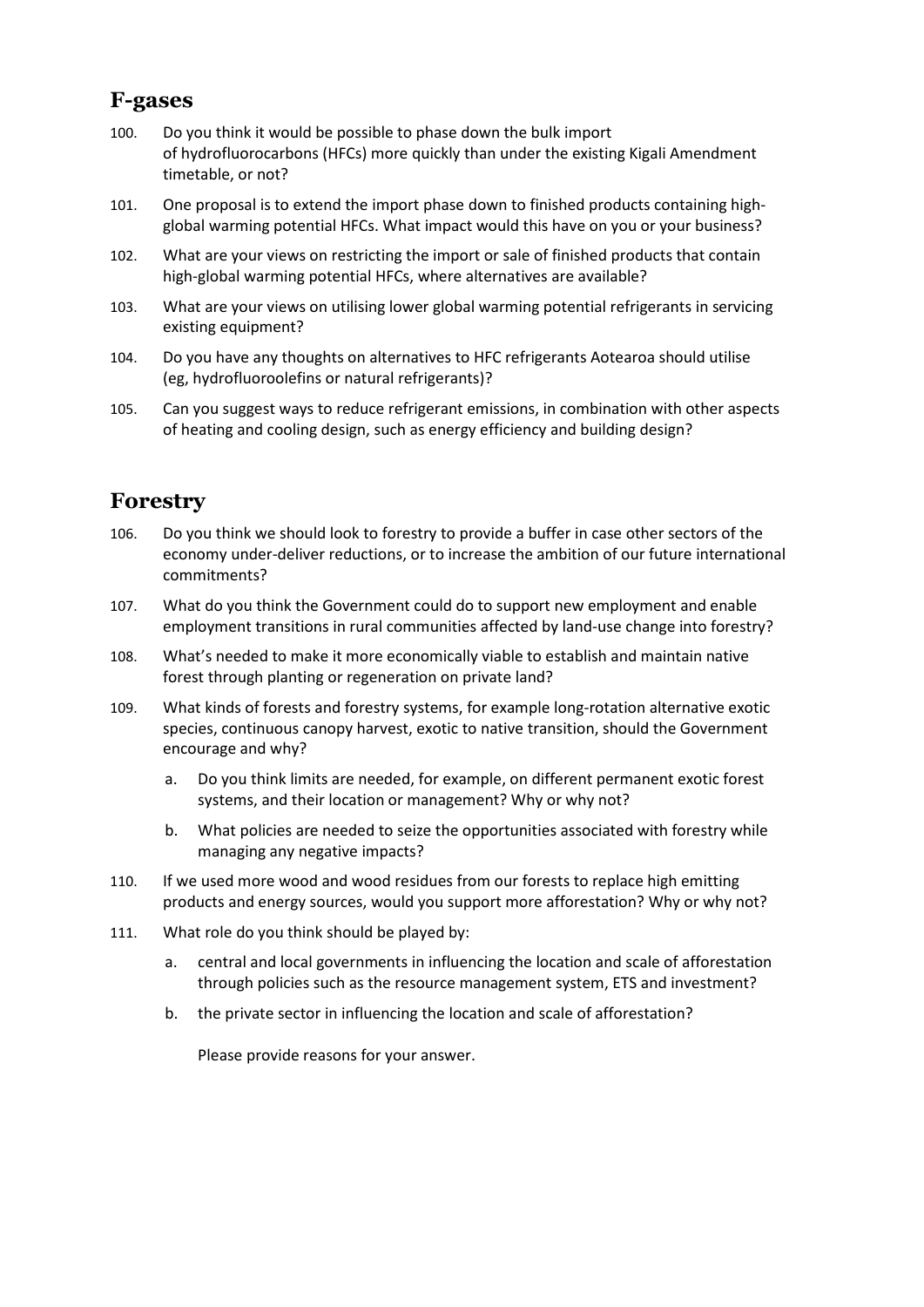### **F-gases**

- 100. Do you think it would be possible to phase down the bulk import of hydrofluorocarbons (HFCs) more quickly than under the existing Kigali Amendment timetable, or not?
- 101. One proposal is to extend the import phase down to finished products containing highglobal warming potential HFCs. What impact would this have on you or your business?
- 102. What are your views on restricting the import or sale of finished products that contain high-global warming potential HFCs, where alternatives are available?
- 103. What are your views on utilising lower global warming potential refrigerants in servicing existing equipment?
- 104. Do you have any thoughts on alternatives to HFC refrigerants Aotearoa should utilise (eg, hydrofluoroolefins or natural refrigerants)?
- 105. Can you suggest ways to reduce refrigerant emissions, in combination with other aspects of heating and cooling design, such as energy efficiency and building design?

# **Forestry**

- 106. Do you think we should look to forestry to provide a buffer in case other sectors of the economy under-deliver reductions, or to increase the ambition of our future international commitments?
- 107. What do you think the Government could do to support new employment and enable employment transitions in rural communities affected by land-use change into forestry?
- 108. What's needed to make it more economically viable to establish and maintain native forest through planting or regeneration on private land?
- 109. What kinds of forests and forestry systems, for example long-rotation alternative exotic species, continuous canopy harvest, exotic to native transition, should the Government encourage and why?
	- a. Do you think limits are needed, for example, on different permanent exotic forest systems, and their location or management? Why or why not?
	- b. What policies are needed to seize the opportunities associated with forestry while managing any negative impacts?
- 110. If we used more wood and wood residues from our forests to replace high emitting products and energy sources, would you support more afforestation? Why or why not?
- 111. What role do you think should be played by:
	- a. central and local governments in influencing the location and scale of afforestation through policies such as the resource management system, ETS and investment?
	- b. the private sector in influencing the location and scale of afforestation?

Please provide reasons for your answer.